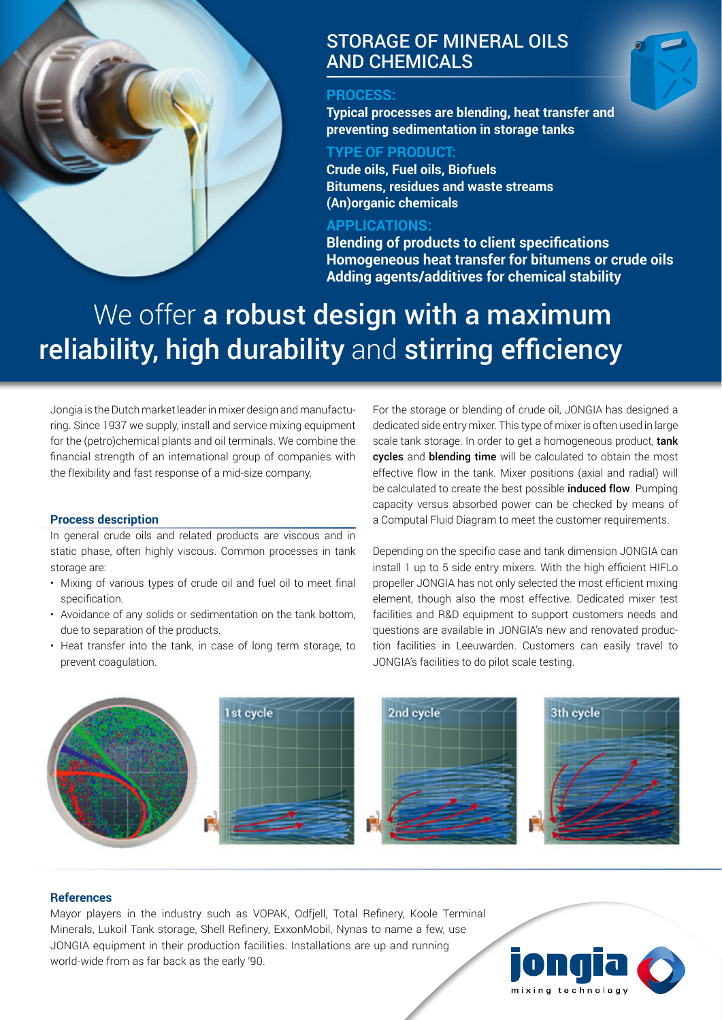

# STORAGE OF MINERAL OILS AND CHEMICALS

### **PROCESS:**

**Typical processes are blending, heat transfer and preventing sedimentation in storage tanks**

### **TYPE OF PRODUCT:**

**Crude oils, Fuel oils, Biofuels Bitumens, residues and waste streams (An)organic chemicals**

## **APPLICATIONS:**

**Blending of products to client specifications Homogeneous heat transfer for bitumens or crude oils Adding agents/additives for chemical stability**

# We offer a robust design with a maximum reliability, high durability and stirring efficiency

Jongia is the Dutch market leader in mixer design and manufacturing. Since 1937 we supply, install and service mixing equipment for the (petro)chemical plants and oil terminals. We combine the financial strength of an international group of companies with the flexibility and fast response of a mid-size company.

### **Process description**

In general crude oils and related products are viscous and in static phase, often highly viscous. Common processes in tank storage are:

- Mixing of various types of crude oil and fuel oil to meet final specification.
- Avoidance of any solids or sedimentation on the tank bottom, due to separation of the products.
- Heat transfer into the tank, in case of long term storage, to prevent coagulation.

For the storage or blending of crude oil, JONGIA has designed a dedicated side entry mixer. This type of mixer is often used in large scale tank storage. In order to get a homogeneous product, tank cycles and blending time will be calculated to obtain the most effective flow in the tank. Mixer positions (axial and radial) will be calculated to create the best possible *induced flow*. Pumping capacity versus absorbed power can be checked by means of a Computal Fluid Diagram to meet the customer requirements.

Depending on the specific case and tank dimension JONGIA can install 1 up to 5 side entry mixers. With the high efficient HIFLo propeller JONGIA has not only selected the most efficient mixing element, though also the most effective. Dedicated mixer test facilities and R&D equipment to support customers needs and questions are available in JONGIA's new and renovated production facilities in Leeuwarden. Customers can easily travel to JONGIA's facilities to do pilot scale testing.



### **References**

Mayor players in the industry such as VOPAK, Odfjell, Total Refinery, Koole Terminal Minerals, Lukoil Tank storage, Shell Refinery, ExxonMobil, Nynas to name a few, use JONGIA equipment in their production facilities. Installations are up and running world-wide from as far back as the early '90.